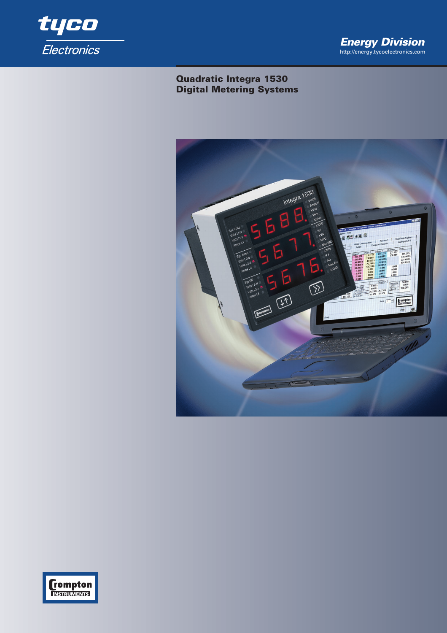

# **Quadratic Integra 1530 Digital Metering Systems**



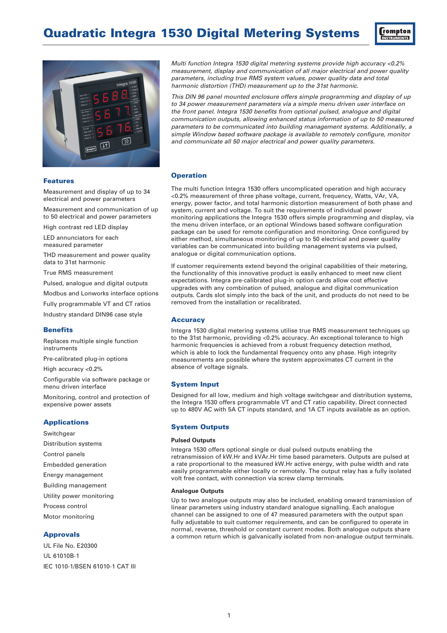



*Multi function Integra 1530 digital metering systems provide high accuracy <0.2% measurement, display and communication of all major electrical and power quality parameters, including true RMS system values, power quality data and total harmonic distortion (THD) measurement up to the 31st harmonic.* 

*This DIN 96 panel mounted enclosure offers simple programming and display of up to 34 power measurement parameters via a simple menu driven user interface on the front panel. Integra 1530 benefits from optional pulsed, analogue and digital communication outputs, allowing enhanced status information of up to 50 measured parameters to be communicated into building management systems. Additionally, a simple Window based software package is available to remotely configure, monitor and communicate all 50 major electrical and power quality parameters.*

### **Operation**

The multi function Integra 1530 offers uncomplicated operation and high accuracy <0.2% measurement of three phase voltage, current, frequency, Watts, VAr, VA, energy, power factor, and total harmonic distortion measurement of both phase and system, current and voltage. To suit the requirements of individual power monitoring applications the Integra 1530 offers simple programming and display, via the menu driven interface, or an optional Windows based software configuration package can be used for remote configuration and monitoring. Once configured by either method, simultaneous monitoring of up to 50 electrical and power quality variables can be communicated into building management systems via pulsed, analogue or digital communication options.

If customer requirements extend beyond the original capabilities of their metering, the functionality of this innovative product is easily enhanced to meet new client expectations. Integra pre-calibrated plug-in option cards allow cost effective upgrades with any combination of pulsed, analogue and digital communication outputs. Cards slot simply into the back of the unit, and products do not need to be removed from the installation or recalibrated.

#### **Accuracy**

Integra 1530 digital metering systems utilise true RMS measurement techniques up to the 31st harmonic, providing <0.2% accuracy. An exceptional tolerance to high harmonic frequencies is achieved from a robust frequency detection method, which is able to lock the fundamental frequency onto any phase. High integrity measurements are possible where the system approximates CT current in the absence of voltage signals.

#### **System Input**

Designed for all low, medium and high voltage switchgear and distribution systems, the Integra 1530 offers programmable VT and CT ratio capability. Direct connected up to 480V AC with 5A CT inputs standard, and 1A CT inputs available as an option.

#### **System Outputs**

#### **Pulsed Outputs**

Integra 1530 offers optional single or dual pulsed outputs enabling the retransmission of kW.Hr and kVAr.Hr time based parameters. Outputs are pulsed at a rate proportional to the measured kW.Hr active energy, with pulse width and rate easily programmable either locally or remotely. The output relay has a fully isolated volt free contact, with connection via screw clamp terminals.

#### **Analogue Outputs**

Up to two analogue outputs may also be included, enabling onward transmission of linear parameters using industry standard analogue signalling. Each analogue channel can be assigned to one of 47 measured parameters with the output span fully adjustable to suit customer requirements, and can be configured to operate in normal, reverse, threshold or constant current modes. Both analogue outputs share a common return which is galvanically isolated from non-analogue output terminals.

## **Features**

Measurement and display of up to 34 electrical and power parameters

Measurement and communication of up to 50 electrical and power parameters

High contrast red LED display

LED annunciators for each measured parameter

THD measurement and power quality data to 31st harmonic

True RMS measurement

Pulsed, analogue and digital outputs

Modbus and Lonworks interface options

Fully programmable VT and CT ratios

Industry standard DIN96 case style

#### **Benefits**

Replaces multiple single function instruments

Pre-calibrated plug-in options

High accuracy <0.2%

Configurable via software package or menu driven interface

Monitoring, control and protection of expensive power assets

### **Applications**

Switchgear Distribution systems Control panels Embedded generation Energy management Building management Utility power monitoring Process control Motor monitoring

#### **Approvals**

UL File No. E20300 UL 61010B-1 IEC 1010-1/BSEN 61010-1 CAT III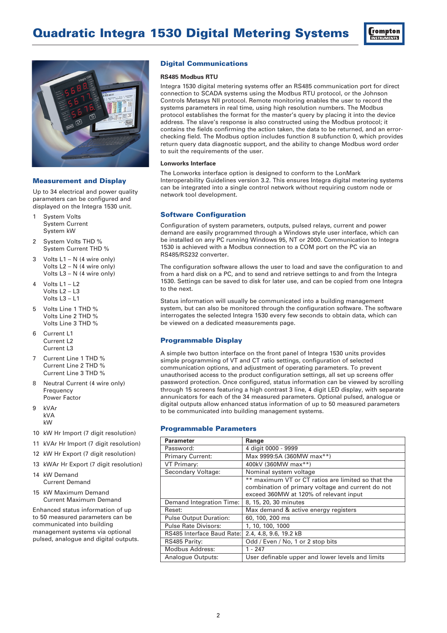



## **Measurement and Display**

Up to 34 electrical and power quality parameters can be configured and displayed on the Integra 1530 unit.

- 1 System Volts System Current System kW
- 2 System Volts THD % System Current THD %
- 3 Volts L1 N (4 wire only) Volts L2 – N (4 wire only) Volts L3 – N (4 wire only)
- 4 Volts  $L1 L2$ Volts L2 – L3 Volts  $13 - 11$
- 5 Volts Line 1 THD % Volts Line 2 THD % Volts Line 3 THD %
- 6 Current L1 Current 12 Current L3
- 7 Current Line 1 THD % Current Line 2 THD % Current Line 3 THD %
- 8 Neutral Current (4 wire only) Frequency Power Factor
- 9 kVAr kVA kW
- 10 kW Hr Import (7 digit resolution)
- 11 kVAr Hr Import (7 digit resolution) 12 kW Hr Export (7 digit resolution)
- 13 kWAr Hr Export (7 digit resolution)
- 14 kW Demand Current Demand
- 15 kW Maximum Demand Current Maximum Demand

Enhanced status information of up to 50 measured parameters can be communicated into building management systems via optional pulsed, analogue and digital outputs.

## **Digital Communications**

### **RS485 Modbus RTU**

Integra 1530 digital metering systems offer an RS485 communication port for direct connection to SCADA systems using the Modbus RTU protocol, or the Johnson Controls Metasys NII protocol. Remote monitoring enables the user to record the systems parameters in real time, using high resolution numbers. The Modbus protocol establishes the format for the master's query by placing it into the device address. The slave's response is also constructed using the Modbus protocol; it contains the fields confirming the action taken, the data to be returned, and an errorchecking field. The Modbus option includes function 8 subfunction 0, which provides return query data diagnostic support, and the ability to change Modbus word order to suit the requirements of the user.

#### **Lonworks Interface**

The Lonworks interface option is designed to conform to the LonMark Interoperability Guidelines version 3.2. This ensures Integra digital metering systems can be integrated into a single control network without requiring custom node or network tool development.

## **Software Configuration**

Configuration of system parameters, outputs, pulsed relays, current and power demand are easily programmed through a Windows style user interface, which can be installed on any PC running Windows 95, NT or 2000. Communication to Integra 1530 is achieved with a Modbus connection to a COM port on the PC via an RS485/RS232 converter.

The configuration software allows the user to load and save the configuration to and from a hard disk on a PC, and to send and retrieve settings to and from the Integra 1530. Settings can be saved to disk for later use, and can be copied from one Integra to the next.

Status information will usually be communicated into a building management system, but can also be monitored through the configuration software. The software interrogates the selected Integra 1530 every few seconds to obtain data, which can be viewed on a dedicated measurements page.

## **Programmable Display**

A simple two button interface on the front panel of Integra 1530 units provides simple programming of VT and CT ratio settings, configuration of selected communication options, and adjustment of operating parameters. To prevent unauthorised access to the product configuration settings, all set up screens offer password protection. Once configured, status information can be viewed by scrolling through 15 screens featuring a high contrast 3 line, 4 digit LED display, with separate annunicators for each of the 34 measured parameters. Optional pulsed, analogue or digital outputs allow enhanced status information of up to 50 measured parameters to be communicated into building management systems.

## **Programmable Parameters**

| <b>Parameter</b>              | Range                                              |
|-------------------------------|----------------------------------------------------|
| Password:                     | 4 digit 0000 - 9999                                |
| <b>Primary Current:</b>       | Max 9999:5A (360MW max**)                          |
| VT Primary:                   | 400kV (360MW max**)                                |
| Secondary Voltage:            | Nominal system voltage                             |
|                               | ** maximum VT or CT ratios are limited so that the |
|                               | combination of primary voltage and current do not  |
|                               | exceed 360MW at 120% of relevant input             |
| Demand Integration Time:      | 8, 15, 20, 30 minutes                              |
| Reset:                        | Max demand & active energy registers               |
| <b>Pulse Output Duration:</b> | 60, 100, 200 ms                                    |
| <b>Pulse Rate Divisors:</b>   | 1, 10, 100, 1000                                   |
| RS485 Interface Baud Rate:    | 2.4, 4.8, 9.6, 19.2 kB                             |
| RS485 Parity:                 | Odd / Even / No, 1 or 2 stop bits                  |
| Modbus Address:               | 1 - 247                                            |
| Analogue Outputs:             | User definable upper and lower levels and limits   |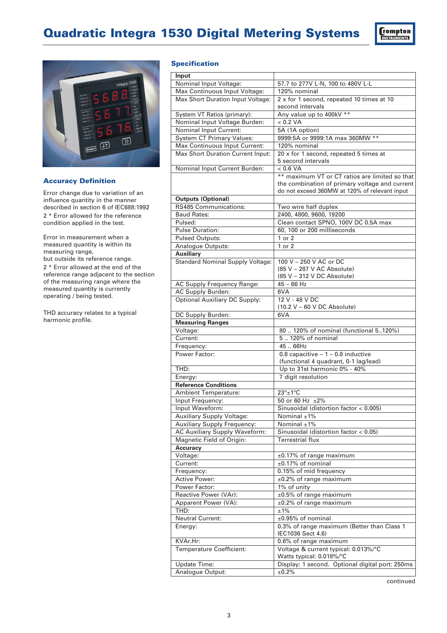



## **Accuracy Definition**

Error change due to variation of an influence quantity in the manner described in section 6 of IEC688:1992 2 \* Error allowed for the reference condition applied in the test.

Error in measurement when a measured quantity is within its measuring range, but outside its reference range. 2 \* Error allowed at the end of the reference range adjacent to the section of the measuring range where the measured quantity is currently operating / being tested.

THD accuracy relates to a typical harmonic profile.

## **Specification**

| Input                                                       |                                                                  |
|-------------------------------------------------------------|------------------------------------------------------------------|
| Nominal Input Voltage:                                      | 57.7 to 277V L-N, 100 to 480V L-L                                |
| Max Continuous Input Voltage:                               | 120% nominal                                                     |
| Max Short Duration Input Voltage:                           | 2 x for 1 second, repeated 10 times at 10<br>second intervals    |
| System VT Ratios (primary):                                 | Any value up to 400kV **                                         |
| Nominal Input Voltage Burden:                               | < 0.2 VA                                                         |
| <b>Nominal Input Current:</b>                               | 5A (1A option)                                                   |
| <b>System CT Primary Values:</b>                            | 9999:5A or 9999:1A max 360MW **                                  |
| Max Continuous Input Current:                               | 120% nominal                                                     |
| Max Short Duration Current Input:                           | 20 x for 1 second, repeated 5 times at                           |
|                                                             | 5 second intervals                                               |
| Nominal Input Current Burden:                               | < 0.6 VA                                                         |
|                                                             | ** maximum VT or CT ratios are limited so that                   |
|                                                             | the combination of primary voltage and current                   |
|                                                             | do not exceed 360MW at 120% of relevant input                    |
| <b>Outputs (Optional)</b>                                   |                                                                  |
| <b>RS485 Communications:</b>                                | Two wire half duplex                                             |
| <b>Baud Rates:</b>                                          | 2400, 4800, 9600, 19200                                          |
| Pulsed:                                                     | Clean contact SPNO, 100V DC 0.5A max                             |
| <b>Pulse Duration:</b>                                      | 60, 100 or 200 milliseconds                                      |
| <b>Pulsed Outputs:</b>                                      | 1 or 2                                                           |
| Analogue Outputs:                                           | 1 or 2                                                           |
| <b>Auxiliary</b><br><b>Standard Nominal Supply Voltage:</b> | 100 V - 250 V AC or DC                                           |
|                                                             | (85 V - 287 V AC Absolute)                                       |
|                                                             | (85 V - 312 V DC Absolute)                                       |
| AC Supply Frequency Range:                                  | $45 - 66$ Hz                                                     |
| AC Supply Burden:                                           | 6VA                                                              |
| <b>Optional Auxiliary DC Supply:</b>                        | 12 V - 48 V DC                                                   |
|                                                             | $(10.2 V - 60 V DC Absolute)$                                    |
| DC Supply Burden:                                           | 6VA                                                              |
| <b>Measuring Ranges</b>                                     |                                                                  |
| Voltage:                                                    | 80  120% of nominal (functional 5120%)                           |
| Current:                                                    | 5 120% of nominal                                                |
| Frequency:                                                  | 45  66Hz                                                         |
| Power Factor:                                               | 0.8 capacitive $-1 - 0.8$ inductive                              |
|                                                             | (functional 4 quadrant, 0-1 lag/lead)                            |
| THD:                                                        | Up to 31st harmonic 0% - 40%                                     |
| Energy:                                                     | 7 digit resolution                                               |
| <b>Reference Conditions</b>                                 |                                                                  |
| <b>Ambient Temperature:</b>                                 | $23^\circ \pm 1^\circ C$                                         |
| Input Frequency:                                            | 50 or 60 Hz ±2%                                                  |
| Input Waveform:                                             | Sinusoidal (distortion factor < 0.005)                           |
| Auxiliary Supply Voltage:                                   | Nominal $\pm$ 1%                                                 |
| <b>Auxiliary Supply Frequency:</b>                          | Nominal ±1%                                                      |
| AC Auxiliary Supply Waveform:                               | Sinusoidal (distortion factor < 0.05)                            |
| Magnetic Field of Origin:                                   | <b>Terrestrial flux</b>                                          |
| <b>Accuracy</b>                                             |                                                                  |
| Voltage:                                                    | ±0.17% of range maximum                                          |
| Current:                                                    | ±0.17% of nominal                                                |
| Frequency:                                                  | 0.15% of mid frequency                                           |
| <b>Active Power:</b>                                        | ±0.2% of range maximum                                           |
| Power Factor:                                               | 1% of unity                                                      |
| Reactive Power (VAr):                                       | ±0.5% of range maximum                                           |
| Apparent Power (VA):<br>THD:                                | ±0.2% of range maximum                                           |
|                                                             |                                                                  |
|                                                             | ±1%                                                              |
| <b>Neutral Current:</b>                                     | ±0.95% of nominal                                                |
| Energy:                                                     | 0.3% of range maximum (Better than Class 1<br>IEC1036 Sect 4.6)  |
| KVAr.Hr:                                                    | 0.6% of range maximum                                            |
| <b>Temperature Coefficient:</b>                             | Voltage & current typical: 0.013%/°C<br>Watts typical: 0.018%/°C |
| Update Time:                                                | Display: 1 second. Optional digital port: 250ms                  |
| Analogue Output:                                            | ±0.2%                                                            |

continued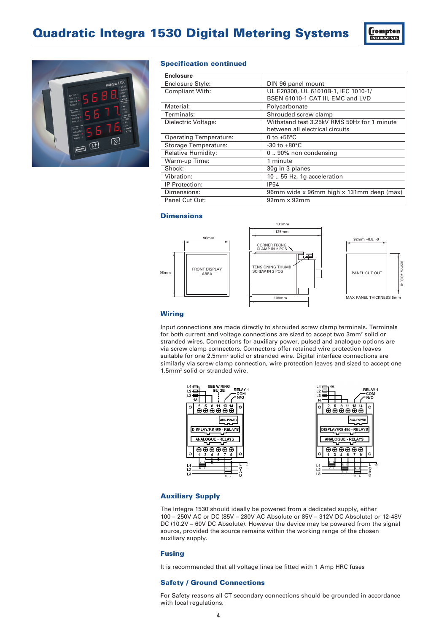



### **Specification continued**

| <b>Enclosure</b>              |                                             |
|-------------------------------|---------------------------------------------|
| Enclosure Style:              | DIN 96 panel mount                          |
| <b>Compliant With:</b>        | UL E20300, UL 61010B-1, IEC 1010-1/         |
|                               | BSEN 61010-1 CAT III, EMC and LVD           |
| Material:                     | Polycarbonate                               |
| Terminals:                    | Shrouded screw clamp                        |
| Dielectric Voltage:           | Withstand test 3.25kV RMS 50Hz for 1 minute |
|                               | between all electrical circuits             |
| <b>Operating Temperature:</b> | 0 to $+55^{\circ}$ C                        |
| Storage Temperature:          | $-30$ to $+80^{\circ}$ C                    |
| Relative Humidity:            | 090% non condensing                         |
| Warm-up Time:                 | 1 minute                                    |
| Shock:                        | 30g in 3 planes                             |
| Vibration:                    | 10  55 Hz, 1g acceleration                  |
| IP Protection:                | <b>IP54</b>                                 |
| Dimensions:                   | 96mm wide x 96mm high x 131mm deep (max)    |
| Panel Cut Out:                | $92mm \times 92mm$                          |

## **Dimensions**



## **Wiring**

Input connections are made directly to shrouded screw clamp terminals. Terminals for both current and voltage connections are sized to accept two 3mm2 solid or stranded wires. Connections for auxiliary power, pulsed and analogue options are via screw clamp connectors. Connectors offer retained wire protection leaves suitable for one 2.5mm<sup>2</sup> solid or stranded wire. Digital interface connections are similarly via screw clamp connection, wire protection leaves and sized to accept one 1.5mm2 solid or stranded wire.



## **Auxiliary Supply**

The Integra 1530 should ideally be powered from a dedicated supply, either 100 – 250V AC or DC (85V – 280V AC Absolute or 85V – 312V DC Absolute) or 12-48V DC (10.2V – 60V DC Absolute). However the device may be powered from the signal source, provided the source remains within the working range of the chosen auxiliary supply.

### **Fusing**

It is recommended that all voltage lines be fitted with 1 Amp HRC fuses

## **Safety / Ground Connections**

For Safety reasons all CT secondary connections should be grounded in accordance with local regulations.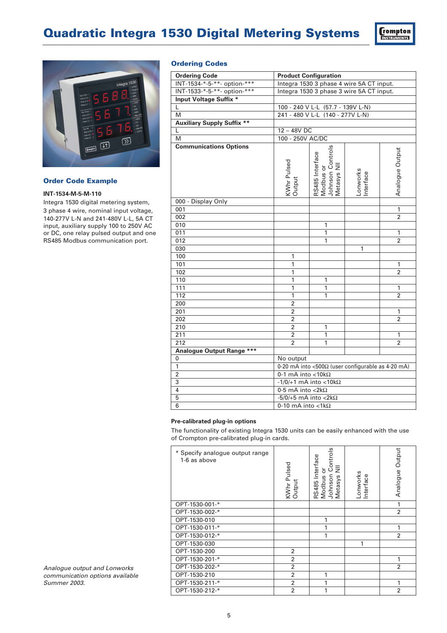



## **Order Code Example**

## **INT-1534-M-5-M-110**

Integra 1530 digital metering system, 3 phase 4 wire, nominal input voltage, 140-277V L-N and 241-480V L-L, 5A CT input, auxiliary supply 100 to 250V AC or DC, one relay pulsed output and one RS485 Modbus communication port.

## **Ordering Codes**

| INT-1534-*-5-**- option-***<br>Integra 1530 3 phase 4 wire 5A CT input.<br>INT-1533-*-5-**- option-***<br>Integra 1530 3 phase 3 wire 5A CT input.<br><b>Input Voltage Suffix *</b><br>100 - 240 V L-L (57.7 - 139V L-N)<br>Г<br>241 - 480 V L-L (140 - 277V L-N)<br>M<br><b>Auxiliary Supply Suffix **</b><br>$12 - 48V$ DC<br>L<br>100 - 250V AC/DC<br>M<br><b>Communications Options</b><br>Johnson Controls<br>Metasys NII<br>Analogue Output<br>RS485 Interface<br>Modbus or<br>KWhr Pulsed<br>Output<br>Lonworks<br>Interface<br>000 - Display Only<br>001<br>1<br>002<br>$\overline{2}$<br>1<br>010<br>1<br>011<br>1 | <b>Ordering Code</b> | <b>Product Configuration</b> |   |  |   |
|-----------------------------------------------------------------------------------------------------------------------------------------------------------------------------------------------------------------------------------------------------------------------------------------------------------------------------------------------------------------------------------------------------------------------------------------------------------------------------------------------------------------------------------------------------------------------------------------------------------------------------|----------------------|------------------------------|---|--|---|
|                                                                                                                                                                                                                                                                                                                                                                                                                                                                                                                                                                                                                             |                      |                              |   |  |   |
|                                                                                                                                                                                                                                                                                                                                                                                                                                                                                                                                                                                                                             |                      |                              |   |  |   |
|                                                                                                                                                                                                                                                                                                                                                                                                                                                                                                                                                                                                                             |                      |                              |   |  |   |
|                                                                                                                                                                                                                                                                                                                                                                                                                                                                                                                                                                                                                             |                      |                              |   |  |   |
|                                                                                                                                                                                                                                                                                                                                                                                                                                                                                                                                                                                                                             |                      |                              |   |  |   |
|                                                                                                                                                                                                                                                                                                                                                                                                                                                                                                                                                                                                                             |                      |                              |   |  |   |
|                                                                                                                                                                                                                                                                                                                                                                                                                                                                                                                                                                                                                             |                      |                              |   |  |   |
|                                                                                                                                                                                                                                                                                                                                                                                                                                                                                                                                                                                                                             |                      |                              |   |  |   |
|                                                                                                                                                                                                                                                                                                                                                                                                                                                                                                                                                                                                                             |                      |                              |   |  |   |
|                                                                                                                                                                                                                                                                                                                                                                                                                                                                                                                                                                                                                             |                      |                              |   |  |   |
|                                                                                                                                                                                                                                                                                                                                                                                                                                                                                                                                                                                                                             |                      |                              |   |  |   |
|                                                                                                                                                                                                                                                                                                                                                                                                                                                                                                                                                                                                                             |                      |                              |   |  |   |
|                                                                                                                                                                                                                                                                                                                                                                                                                                                                                                                                                                                                                             |                      |                              |   |  |   |
|                                                                                                                                                                                                                                                                                                                                                                                                                                                                                                                                                                                                                             |                      |                              |   |  |   |
|                                                                                                                                                                                                                                                                                                                                                                                                                                                                                                                                                                                                                             |                      |                              |   |  |   |
|                                                                                                                                                                                                                                                                                                                                                                                                                                                                                                                                                                                                                             | 012                  |                              | 1 |  | 2 |
| 030<br>1                                                                                                                                                                                                                                                                                                                                                                                                                                                                                                                                                                                                                    |                      |                              |   |  |   |
| 100<br>1                                                                                                                                                                                                                                                                                                                                                                                                                                                                                                                                                                                                                    |                      |                              |   |  |   |
| 101<br>1<br>1                                                                                                                                                                                                                                                                                                                                                                                                                                                                                                                                                                                                               |                      |                              |   |  |   |
| $\overline{1}$<br>102<br>$\overline{2}$                                                                                                                                                                                                                                                                                                                                                                                                                                                                                                                                                                                     |                      |                              |   |  |   |
| $\mathbf{1}$<br>110<br>1                                                                                                                                                                                                                                                                                                                                                                                                                                                                                                                                                                                                    |                      |                              |   |  |   |
| 111<br>$\mathbf{1}$<br>1<br>$\mathbf{1}$                                                                                                                                                                                                                                                                                                                                                                                                                                                                                                                                                                                    |                      |                              |   |  |   |
| 112<br>1<br>2<br>1                                                                                                                                                                                                                                                                                                                                                                                                                                                                                                                                                                                                          |                      |                              |   |  |   |
| $\overline{2}$<br>200                                                                                                                                                                                                                                                                                                                                                                                                                                                                                                                                                                                                       |                      |                              |   |  |   |
| 201<br>$\overline{2}$<br>1                                                                                                                                                                                                                                                                                                                                                                                                                                                                                                                                                                                                  |                      |                              |   |  |   |
| 202<br>2<br>2                                                                                                                                                                                                                                                                                                                                                                                                                                                                                                                                                                                                               |                      |                              |   |  |   |
| $\overline{2}$<br>210<br>1                                                                                                                                                                                                                                                                                                                                                                                                                                                                                                                                                                                                  |                      |                              |   |  |   |
| $\overline{2}$<br>211<br>1<br>1                                                                                                                                                                                                                                                                                                                                                                                                                                                                                                                                                                                             |                      |                              |   |  |   |
| 212<br>$\overline{2}$<br>1<br>2                                                                                                                                                                                                                                                                                                                                                                                                                                                                                                                                                                                             |                      |                              |   |  |   |
| Analogue Output Range ***                                                                                                                                                                                                                                                                                                                                                                                                                                                                                                                                                                                                   |                      |                              |   |  |   |
| No output<br>0                                                                                                                                                                                                                                                                                                                                                                                                                                                                                                                                                                                                              |                      |                              |   |  |   |
| $\mathbf{1}$<br>0-20 mA into <500 $\Omega$ (user configurable as 4-20 mA)                                                                                                                                                                                                                                                                                                                                                                                                                                                                                                                                                   |                      |                              |   |  |   |
| 0-1 mA into < $10k\Omega$<br>2                                                                                                                                                                                                                                                                                                                                                                                                                                                                                                                                                                                              |                      |                              |   |  |   |
| 3<br>$-1/0/+1$ mA into <10k $\Omega$                                                                                                                                                                                                                                                                                                                                                                                                                                                                                                                                                                                        |                      |                              |   |  |   |
| $\overline{4}$<br>0-5 mA into $<$ 2k $\Omega$                                                                                                                                                                                                                                                                                                                                                                                                                                                                                                                                                                               |                      |                              |   |  |   |
| 5<br>$-5/0/+5$ mA into <2k $\Omega$                                                                                                                                                                                                                                                                                                                                                                                                                                                                                                                                                                                         |                      |                              |   |  |   |
| 6<br>0-10 mA into <1 $k\Omega$                                                                                                                                                                                                                                                                                                                                                                                                                                                                                                                                                                                              |                      |                              |   |  |   |

### **Pre-calibrated plug-in options**

The functionality of existing Integra 1530 units can be easily enhanced with the use of Crompton pre-calibrated plug-in cards.

| * Specify analogue output range<br>1-6 as above | KWhr Pulsed<br>Output | Controls<br>RS485 Interface<br>$\bar{z}$<br>ŏ<br>Modbus<br>Johnson<br><b>Metasys</b> | Lonworks<br>Interface | Output<br>Analogue |
|-------------------------------------------------|-----------------------|--------------------------------------------------------------------------------------|-----------------------|--------------------|
| OPT-1530-001-*                                  |                       |                                                                                      |                       | 1                  |
| OPT-1530-002-*                                  |                       |                                                                                      |                       | $\overline{2}$     |
| OPT-1530-010                                    |                       | 1                                                                                    |                       |                    |
| OPT-1530-011-*                                  |                       | 1                                                                                    |                       | 1                  |
| OPT-1530-012-*                                  |                       | 1                                                                                    |                       | $\overline{2}$     |
| OPT-1530-030                                    |                       |                                                                                      | 1                     |                    |
| OPT-1530-200                                    | 2                     |                                                                                      |                       |                    |
| OPT-1530-201-*                                  | $\overline{2}$        |                                                                                      |                       | 1                  |
| OPT-1530-202-*                                  | $\overline{2}$        |                                                                                      |                       | $\overline{2}$     |
| OPT-1530-210                                    | 2                     | 1                                                                                    |                       |                    |
| OPT-1530-211-*                                  | 2                     | 1                                                                                    |                       | 1                  |
| OPT-1530-212-*                                  | $\overline{2}$        | 1                                                                                    |                       | $\overline{2}$     |

*Analogue output and Lonworks communication options available Summer 2003.*